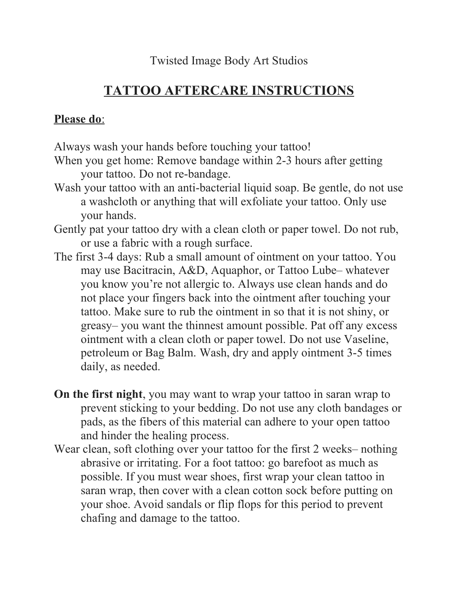Twisted Image Body Art Studios

## **TATTOO AFTERCARE INSTRUCTIONS**

## Please do:

Always wash your hands before touching your tattoo!

- When you get home: Remove bandage within 2-3 hours after getting your tattoo. Do not re-bandage.
- Wash your tattoo with an anti-bacterial liquid soap. Be gentle, do not use a washcloth or anything that will exfoliate your tattoo. Only use your hands.
- Gently pat your tattoo dry with a clean cloth or paper towel. Do not rub, or use a fabric with a rough surface.
- The first 3-4 days: Rub a small amount of ointment on your tattoo. You may use Bacitracin, A&D, Aquaphor, or Tattoo Lube– whatever you know you're not allergic to. Always use clean hands and do not place your fingers back into the ointment after touching your tattoo. Make sure to rub the ointment in so that it is not shiny, or greasy– you want the thinnest amount possible. Pat off any excess ointment with a clean cloth or paper towel. Do not use Vaseline, petroleum or Bag Balm. Wash, dry and apply ointment 3-5 times daily, as needed.
- **On the first night**, you may want to wrap your tattoo in saran wrap to prevent sticking to your bedding. Do not use any cloth bandages or pads, as the fibers of this material can adhere to your open tattoo and hinder the healing process.
- Wear clean, soft clothing over your tattoo for the first 2 weeks– nothing abrasive or irritating. For a foot tattoo: go barefoot as much as possible. If you must wear shoes, first wrap your clean tattoo in saran wrap, then cover with a clean cotton sock before putting on your shoe. Avoid sandals or flip flops for this period to prevent chafing and damage to the tattoo.